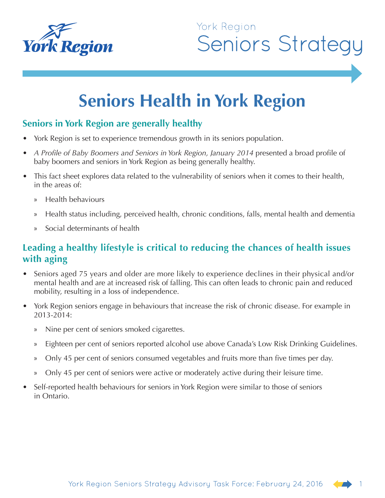

# **Seniors Health in York Region**

#### **Seniors in York Region are generally healthy**

- York Region is set to experience tremendous growth in its seniors population.
- *A Profile of Baby Boomers and Seniors in York Region, January 2014* presented a broad profile of baby boomers and seniors in York Region as being generally healthy.
- This fact sheet explores data related to the vulnerability of seniors when it comes to their health, in the areas of:
	- » Health behaviours
	- » Health status including, perceived health, chronic conditions, falls, mental health and dementia
	- » Social determinants of health

#### **Leading a healthy lifestyle is critical to reducing the chances of health issues with aging**

- Seniors aged 75 years and older are more likely to experience declines in their physical and/or mental health and are at increased risk of falling. This can often leads to chronic pain and reduced mobility, resulting in a loss of independence.
- York Region seniors engage in behaviours that increase the risk of chronic disease. For example in 2013-2014:
	- » Nine per cent of seniors smoked cigarettes.
	- » Eighteen per cent of seniors reported alcohol use above Canada's Low Risk Drinking Guidelines.
	- » Only 45 per cent of seniors consumed vegetables and fruits more than five times per day.
	- » Only 45 per cent of seniors were active or moderately active during their leisure time.
- Self-reported health behaviours for seniors in York Region were similar to those of seniors in Ontario.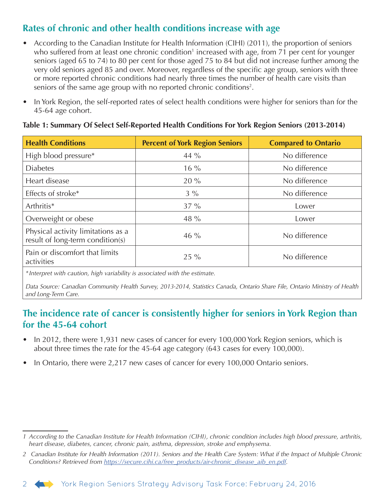### **Rates of chronic and other health conditions increase with age**

- According to the Canadian Institute for Health Information (CIHI) (2011), the proportion of seniors who suffered from at least one chronic condition<sup>1</sup> increased with age, from 71 per cent for younger seniors (aged 65 to 74) to 80 per cent for those aged 75 to 84 but did not increase further among the very old seniors aged 85 and over. Moreover, regardless of the specific age group, seniors with three or more reported chronic conditions had nearly three times the number of health care visits than seniors of the same age group with no reported chronic conditions<sup>2</sup>.
- In York Region, the self-reported rates of select health conditions were higher for seniors than for the 45-64 age cohort.

| <b>Health Conditions</b>                                               | <b>Percent of York Region Seniors</b> | <b>Compared to Ontario</b> |
|------------------------------------------------------------------------|---------------------------------------|----------------------------|
| High blood pressure*                                                   | 44 $\%$                               | No difference              |
| <b>Diabetes</b>                                                        | $16\%$                                | No difference              |
| Heart disease                                                          | 20%                                   | No difference              |
| Effects of stroke*                                                     | $3\%$                                 | No difference              |
| Arthritis*                                                             | $37\%$                                | Lower                      |
| Overweight or obese                                                    | 48 %                                  | Lower                      |
| Physical activity limitations as a<br>result of long-term condition(s) | $46\%$                                | No difference              |
| Pain or discomfort that limits<br>activities                           | $25\%$                                | No difference              |

#### **Table 1: Summary Of Select Self-Reported Health Conditions For York Region Seniors (2013-2014)**

*\*Interpret with caution, high variability is associated with the estimate.*

*Data Source: Canadian Community Health Survey, 2013-2014, Statistics Canada, Ontario Share File, Ontario Ministry of Health and Long-Term Care.*

#### **The incidence rate of cancer is consistently higher for seniors in York Region than for the 45-64 cohort**

- In 2012, there were 1,931 new cases of cancer for every 100,000 York Region seniors, which is about three times the rate for the 45-64 age category (643 cases for every 100,000).
- In Ontario, there were 2,217 new cases of cancer for every 100,000 Ontario seniors.



*<sup>1</sup> According to the Canadian Institute for Health Information (CIHI), chronic condition includes high blood pressure, arthritis, heart disease, diabetes, cancer, chronic pain, asthma, depression, stroke and emphysema.*

*<sup>2</sup> Canadian Institute for Health Information (2011). Seniors and the Health Care System: What if the Impact of Multiple Chronic Conditions? Retrieved from [https://secure.cihi.ca/free\\_products/air-chronic\\_disease\\_aib\\_en.pdf](https://secure.cihi.ca/free_products/air-chronic_disease_aib_en.pdf).*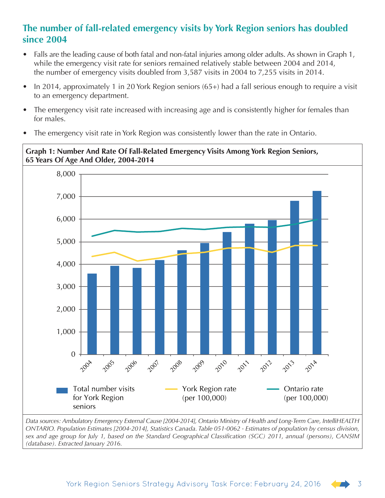#### **The number of fall-related emergency visits by York Region seniors has doubled since 2004**

- Falls are the leading cause of both fatal and non-fatal injuries among older adults. As shown in Graph 1, while the emergency visit rate for seniors remained relatively stable between 2004 and 2014, the number of emergency visits doubled from 3,587 visits in 2004 to 7,255 visits in 2014.
- In 2014, approximately 1 in 20 York Region seniors (65+) had a fall serious enough to require a visit to an emergency department.
- The emergency visit rate increased with increasing age and is consistently higher for females than for males.
- The emergency visit rate in York Region was consistently lower than the rate in Ontario.



*Data sources: Ambulatory Emergency External Cause [2004-2014], Ontario Ministry of Health and Long-Term Care, IntelliHEALTH ONTARIO. Population Estimates [2004-2014], Statistics Canada. Table 051-0062 - Estimates of population by census division, sex and age group for July 1, based on the Standard Geographical Classification (SGC) 2011, annual (persons), CANSIM (database). Extracted January 2016.*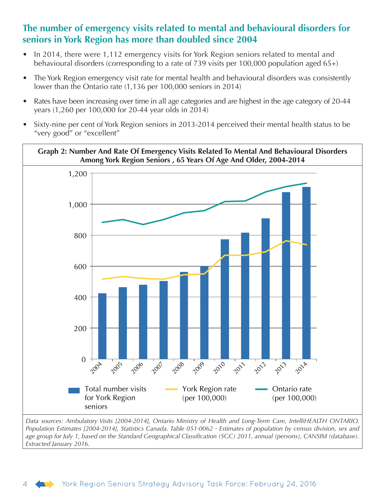#### **The number of emergency visits related to mental and behavioural disorders for seniors in York Region has more than doubled since 2004**

- In 2014, there were 1,112 emergency visits for York Region seniors related to mental and behavioural disorders (corresponding to a rate of 739 visits per 100,000 population aged 65+)
- The York Region emergency visit rate for mental health and behavioural disorders was consistently lower than the Ontario rate (1,136 per 100,000 seniors in 2014)
- Rates have been increasing over time in all age categories and are highest in the age category of 20-44 years (1,260 per 100,000 for 20-44 year olds in 2014)
- Sixty-nine per cent of York Region seniors in 2013-2014 perceived their mental health status to be "very good" or "excellent"



*Population Estimates [2004-2014], Statistics Canada. Table 051-0062 - Estimates of population by census division, sex and age group for July 1, based on the Standard Geographical Classification (SGC) 2011, annual (persons), CANSIM (database). Extracted January 2016.*

#### 4 York Region Seniors Strategy Advisory Task Force: February 24, 2016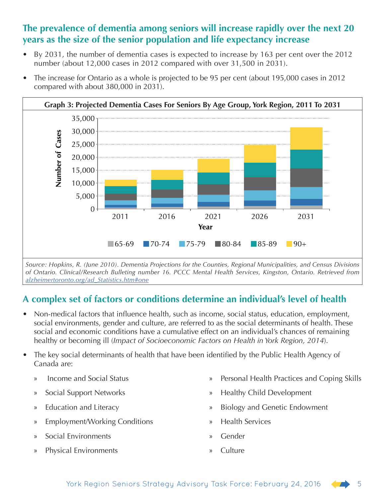#### **The prevalence of dementia among seniors will increase rapidly over the next 20 years as the size of the senior population and life expectancy increase**

• By 2031, the number of dementia cases is expected to increase by 163 per cent over the 2012 number (about 12,000 cases in 2012 compared with over 31,500 in 2031).



• The increase for Ontario as a whole is projected to be 95 per cent (about 195,000 cases in 2012 compared with about 380,000 in 2031).

*Source: Hopkins, R. (June 2010). Dementia Projections for the Counties, Regional Municipalities, and Census Divisions of Ontario. Clinical/Research Bulleting number 16. PCCC Mental Health Services, Kingston, Ontario. Retrieved from [alzheimertoronto.org/ad\\_Statistics.htm#one](http://www.alzheimertoronto.org/ad_Statistics.htm#one)*

## **A complex set of factors or conditions determine an individual's level of health**

- Non-medical factors that influence health, such as income, social status, education, employment, social environments, gender and culture, are referred to as the social determinants of health. These social and economic conditions have a cumulative effect on an individual's chances of remaining healthy or becoming ill (*Impact of Socioeconomic Factors on Health in York Region, 2014*).
- The key social determinants of health that have been identified by the Public Health Agency of Canada are:
	- » Income and Social Status
	- » Social Support Networks
	- » Education and Literacy
	- » Employment/Working Conditions
	- » Social Environments
	- » Physical Environments
- » Personal Health Practices and Coping Skills
- » Healthy Child Development
- » Biology and Genetic Endowment
- » Health Services
- » Gender
- » Culture